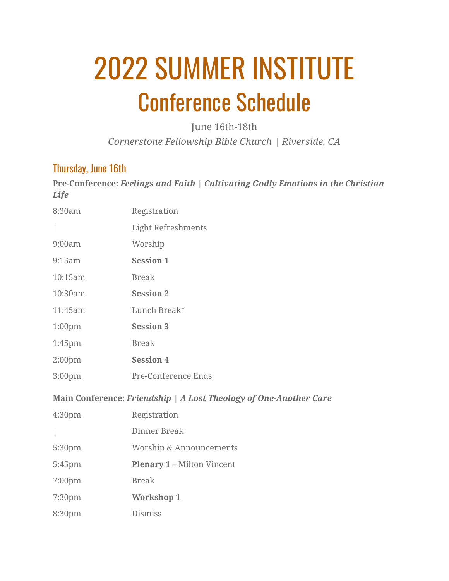# 2022 SUMMER INSTITUTE Conference Schedule

June 16th-18th *Cornerstone Fellowship Bible Church | Riverside, CA*

#### Thursday, June 16th

**Pre-Conference:** *Feelings and Faith | Cultivating Godly Emotions in the Christian Life*

| 8:30am                                                            | Registration                      |  |
|-------------------------------------------------------------------|-----------------------------------|--|
|                                                                   | <b>Light Refreshments</b>         |  |
| 9:00am                                                            | Worship                           |  |
| 9:15am                                                            | <b>Session 1</b>                  |  |
| 10:15am                                                           | <b>Break</b>                      |  |
| 10:30am                                                           | <b>Session 2</b>                  |  |
| 11:45am                                                           | Lunch Break*                      |  |
| 1:00 <sub>pm</sub>                                                | <b>Session 3</b>                  |  |
| 1:45pm                                                            | <b>Break</b>                      |  |
| 2:00 <sub>pm</sub>                                                | <b>Session 4</b>                  |  |
| 3:00 <sub>pm</sub>                                                | Pre-Conference Ends               |  |
| Main Conference: Friendship   A Lost Theology of One-Another Care |                                   |  |
| 4:30 <sub>pm</sub>                                                | Registration                      |  |
|                                                                   | Dinner Break                      |  |
| 5:30pm                                                            | Worship & Announcements           |  |
| 5:45pm                                                            | <b>Plenary 1 - Milton Vincent</b> |  |
| 7:00 <sub>pm</sub>                                                | <b>Break</b>                      |  |
| 7:30pm                                                            | <b>Workshop 1</b>                 |  |
| 8:30pm                                                            | <b>Dismiss</b>                    |  |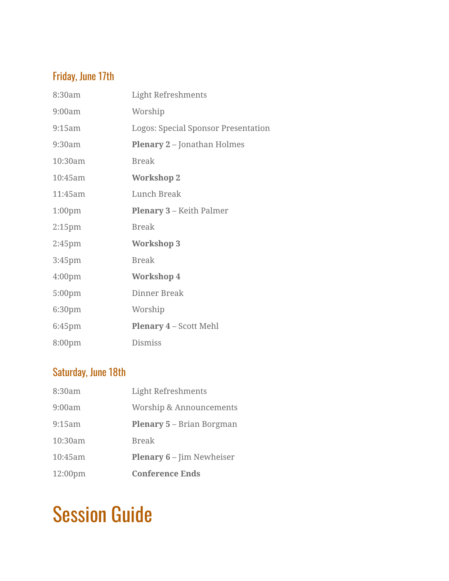## Friday, June 17th

| 8:30am             | <b>Light Refreshments</b>           |
|--------------------|-------------------------------------|
| 9:00am             | Worship                             |
| 9:15am             | Logos: Special Sponsor Presentation |
| 9:30am             | <b>Plenary 2 - Jonathan Holmes</b>  |
| 10:30am            | <b>Break</b>                        |
| 10:45am            | <b>Workshop 2</b>                   |
| 11:45am            | Lunch Break                         |
| 1:00 <sub>pm</sub> | <b>Plenary 3 – Keith Palmer</b>     |
| 2:15 <sub>pm</sub> | <b>Break</b>                        |
| 2:45 <sub>pm</sub> | <b>Workshop 3</b>                   |
| 3:45 <sub>pm</sub> | <b>Break</b>                        |
| 4:00 <sub>pm</sub> | <b>Workshop 4</b>                   |
| 5:00pm             | Dinner Break                        |
| 6:30pm             | Worship                             |
| 6:45 <sub>pm</sub> | <b>Plenary 4 – Scott Mehl</b>       |
| 8:00 <sub>pm</sub> | <b>Dismiss</b>                      |

### Saturday, June 18th

| 8:30am              | <b>Light Refreshments</b>        |
|---------------------|----------------------------------|
| 9:00am              | Worship & Announcements          |
| 9:15am              | <b>Plenary 5 – Brian Borgman</b> |
| 10:30am             | <b>Break</b>                     |
| 10:45am             | <b>Plenary 6</b> – Jim Newheiser |
| 12:00 <sub>pm</sub> | <b>Conference Ends</b>           |

# Session Guide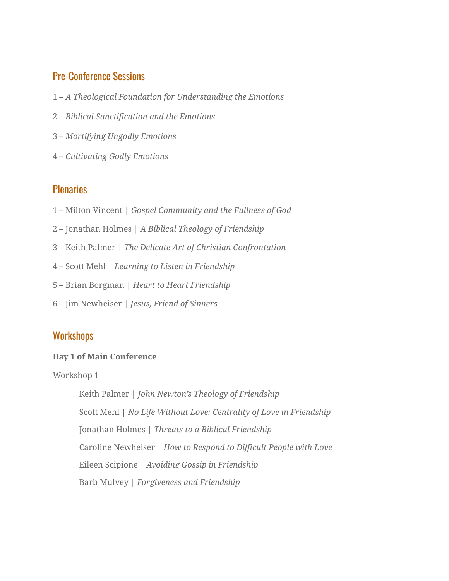#### Pre-Conference Sessions

- 1 *A Theological Foundation for Understanding the Emotions*
- 2 *Biblical Sanctification and the Emotions*
- 3 *Mortifying Ungodly Emotions*
- 4 *Cultivating Godly Emotions*

#### **Plenaries**

- 1 Milton Vincent | *Gospel Community and the Fullness of God*
- 2 Jonathan Holmes | *A Biblical Theology of Friendship*
- 3 Keith Palmer | *The Delicate Art of Christian Confrontation*
- 4 Scott Mehl | *Learning to Listen in Friendship*
- 5 Brian Borgman *| Heart to Heart Friendship*
- 6 Jim Newheiser | *Jesus, Friend of Sinners*

#### **Workshops**

#### **Day 1 of Main Conference**

Workshop 1

Keith Palmer *| John Newton's Theology of Friendship* Scott Mehl | *No Life Without Love: Centrality of Love in Friendship* Jonathan Holmes *| Threats to a Biblical Friendship* Caroline Newheiser | *How to Respond to Difficult People with Love* Eileen Scipione | *Avoiding Gossip in Friendship* Barb Mulvey | *Forgiveness and Friendship*